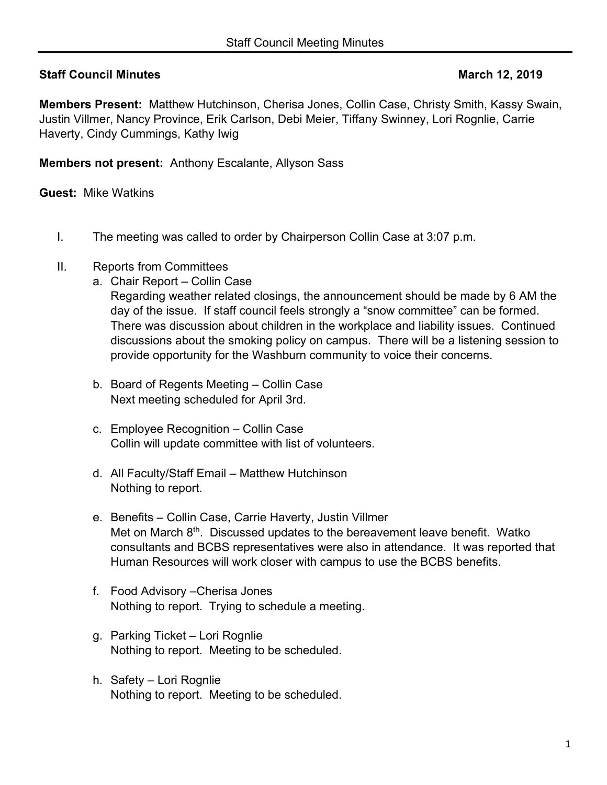# **Staff Council Minutes March 12, 2019**

**Members Present:** Matthew Hutchinson, Cherisa Jones, Collin Case, Christy Smith, Kassy Swain, Justin Villmer, Nancy Province, Erik Carlson, Debi Meier, Tiffany Swinney, Lori Rognlie, Carrie Haverty, Cindy Cummings, Kathy Iwig

**Members not present:** Anthony Escalante, Allyson Sass

**Guest:** Mike Watkins

- I. The meeting was called to order by Chairperson Collin Case at 3:07 p.m.
- II. Reports from Committees
	- a. Chair Report Collin Case

Regarding weather related closings, the announcement should be made by 6 AM the day of the issue. If staff council feels strongly a "snow committee" can be formed. There was discussion about children in the workplace and liability issues. Continued discussions about the smoking policy on campus. There will be a listening session to provide opportunity for the Washburn community to voice their concerns.

- b. Board of Regents Meeting Collin Case Next meeting scheduled for April 3rd.
- c. Employee Recognition Collin Case Collin will update committee with list of volunteers.
- d. All Faculty/Staff Email Matthew Hutchinson Nothing to report.
- e. Benefits Collin Case, Carrie Haverty, Justin Villmer Met on March 8<sup>th</sup>. Discussed updates to the bereavement leave benefit. Watko consultants and BCBS representatives were also in attendance. It was reported that Human Resources will work closer with campus to use the BCBS benefits.
- f. Food Advisory –Cherisa Jones Nothing to report. Trying to schedule a meeting.
- g. Parking Ticket Lori Rognlie Nothing to report. Meeting to be scheduled.
- h. Safety Lori Rognlie Nothing to report. Meeting to be scheduled.